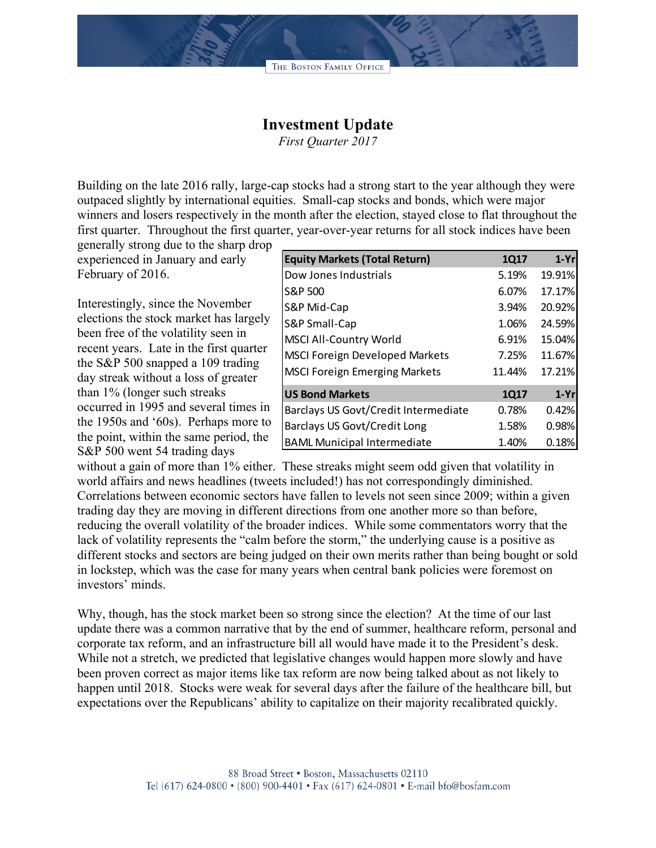THE BOSTON FAMILY OFFICE

## **Investment Update**

*First Quarter 2017*

Building on the late 2016 rally, large-cap stocks had a strong start to the year although they were outpaced slightly by international equities. Small-cap stocks and bonds, which were major winners and losers respectively in the month after the election, stayed close to flat throughout the first quarter. Throughout the first quarter, year-over-year returns for all stock indices have been

generally strong due to the sharp drop experienced in January and early February of 2016.

Interestingly, since the November elections the stock market has largely been free of the volatility seen in recent years. Late in the first quarter the S&P 500 snapped a 109 trading day streak without a loss of greater than 1% (longer such streaks occurred in 1995 and several times in the 1950s and '60s). Perhaps more to the point, within the same period, the S&P 500 went 54 trading days

| <b>Equity Markets (Total Return)</b>  | 1Q17   | $1-Yr$ |
|---------------------------------------|--------|--------|
| Dow Jones Industrials                 | 5.19%  | 19.91% |
| S&P 500                               | 6.07%  | 17.17% |
| S&P Mid-Cap                           | 3.94%  | 20.92% |
| S&P Small-Cap                         | 1.06%  | 24.59% |
| <b>MSCI All-Country World</b>         | 6.91%  | 15.04% |
| <b>MSCI Foreign Developed Markets</b> | 7.25%  | 11.67% |
| <b>MSCI Foreign Emerging Markets</b>  | 11.44% | 17.21% |
| <b>US Bond Markets</b>                | 1Q17   | $1-Yr$ |
| Barclays US Govt/Credit Intermediate  | 0.78%  | 0.42%  |
| Barclays US Govt/Credit Long          | 1.58%  | 0.98%  |
| <b>BAML Municipal Intermediate</b>    | 1.40%  | 0.18%  |

without a gain of more than 1% either. These streaks might seem odd given that volatility in world affairs and news headlines (tweets included!) has not correspondingly diminished. Correlations between economic sectors have fallen to levels not seen since 2009; within a given trading day they are moving in different directions from one another more so than before, reducing the overall volatility of the broader indices. While some commentators worry that the lack of volatility represents the "calm before the storm," the underlying cause is a positive as different stocks and sectors are being judged on their own merits rather than being bought or sold in lockstep, which was the case for many years when central bank policies were foremost on investors' minds.

Why, though, has the stock market been so strong since the election? At the time of our last update there was a common narrative that by the end of summer, healthcare reform, personal and corporate tax reform, and an infrastructure bill all would have made it to the President's desk. While not a stretch, we predicted that legislative changes would happen more slowly and have been proven correct as major items like tax reform are now being talked about as not likely to happen until 2018. Stocks were weak for several days after the failure of the healthcare bill, but expectations over the Republicans' ability to capitalize on their majority recalibrated quickly.